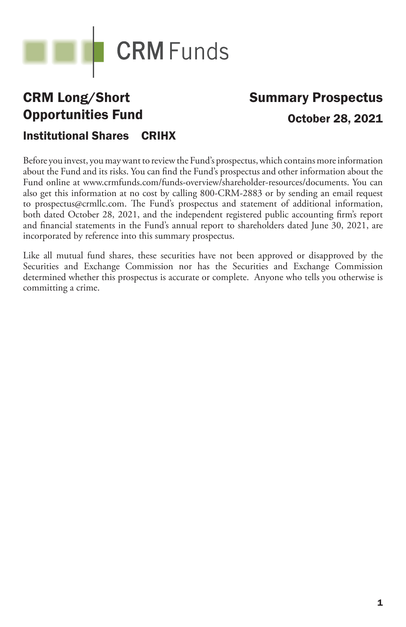

## CRM Long/Short Opportunities Fund

# Summary Prospectus October 28, 2021

## Institutional Shares CRIHX

Before you invest, you may want to review the Fund's prospectus, which contains more information about the Fund and its risks. You can find the Fund's prospectus and other information about the Fund online at www.crmfunds.com/funds-overview/shareholder-resources/documents. You can also get this information at no cost by calling 800-CRM-2883 or by sending an email request to prospectus@crmllc.com. The Fund's prospectus and statement of additional information, both dated October 28, 2021, and the independent registered public accounting firm's report and financial statements in the Fund's annual report to shareholders dated June 30, 2021, are incorporated by reference into this summary prospectus.

Like all mutual fund shares, these securities have not been approved or disapproved by the Securities and Exchange Commission nor has the Securities and Exchange Commission determined whether this prospectus is accurate or complete. Anyone who tells you otherwise is committing a crime.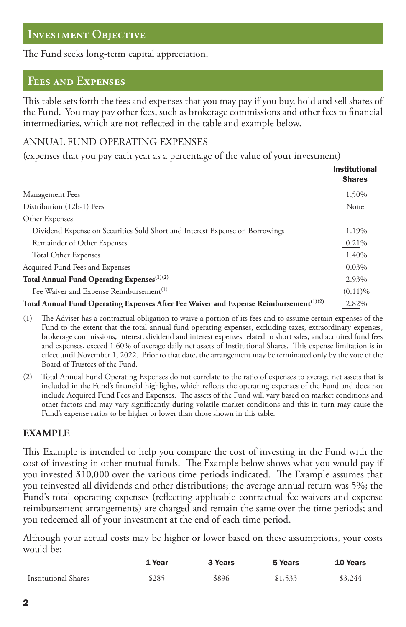## **Investment Objective**

The Fund seeks long-term capital appreciation.

### **Fees and Expenses**

This table sets forth the fees and expenses that you may pay if you buy, hold and sell shares of the Fund. You may pay other fees, such as brokerage commissions and other fees to financial intermediaries, which are not reflected in the table and example below.

#### ANNUAL FUND OPERATING EXPENSES

(expenses that you pay each year as a percentage of the value of your investment)

|                                                                                                   | <b>Institutional</b><br><b>Shares</b> |
|---------------------------------------------------------------------------------------------------|---------------------------------------|
| Management Fees                                                                                   | 1.50%                                 |
| Distribution (12b-1) Fees                                                                         | None                                  |
| Other Expenses                                                                                    |                                       |
| Dividend Expense on Securities Sold Short and Interest Expense on Borrowings                      | 1.19%                                 |
| Remainder of Other Expenses                                                                       | 0.21%                                 |
| <b>Total Other Expenses</b>                                                                       | 1.40%                                 |
| Acquired Fund Fees and Expenses                                                                   | 0.03%                                 |
| Total Annual Fund Operating Expenses <sup>(1)(2)</sup>                                            | 2.93%                                 |
| Fee Waiver and Expense Reimbursement <sup>(1)</sup>                                               | (0.11)%                               |
| Total Annual Fund Operating Expenses After Fee Waiver and Expense Reimbursement <sup>(1)(2)</sup> | 2.82%                                 |

- (1) e Adviser has a contractual obligation to waive a portion of its fees and to assume certain expenses of the Fund to the extent that the total annual fund operating expenses, excluding taxes, extraordinary expenses, brokerage commissions, interest, dividend and interest expenses related to short sales, and acquired fund fees and expenses, exceed 1.60% of average daily net assets of Institutional Shares. This expense limitation is in effect until November 1, 2022. Prior to that date, the arrangement may be terminated only by the vote of the Board of Trustees of the Fund.
- (2) Total Annual Fund Operating Expenses do not correlate to the ratio of expenses to average net assets that is included in the Fund's financial highlights, which reflects the operating expenses of the Fund and does not include Acquired Fund Fees and Expenses. The assets of the Fund will vary based on market conditions and other factors and may vary significantly during volatile market conditions and this in turn may cause the Fund's expense ratios to be higher or lower than those shown in this table.

#### **EXAMPLE**

This Example is intended to help you compare the cost of investing in the Fund with the cost of investing in other mutual funds. The Example below shows what you would pay if you invested \$10,000 over the various time periods indicated. The Example assumes that you reinvested all dividends and other distributions; the average annual return was 5%; the Fund's total operating expenses (reflecting applicable contractual fee waivers and expense reimbursement arrangements) are charged and remain the same over the time periods; and you redeemed all of your investment at the end of each time period.

Although your actual costs may be higher or lower based on these assumptions, your costs would be:

|                             | 1 Year | 3 Years | 5 Years | 10 Years |
|-----------------------------|--------|---------|---------|----------|
| <b>Institutional Shares</b> | \$285  | \$896   | \$1,533 | \$3,244  |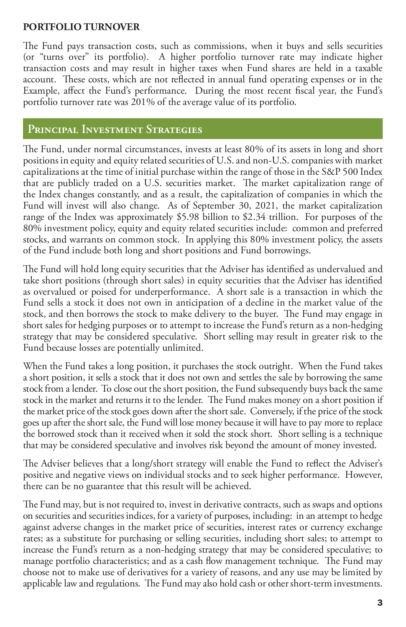#### **PORTFOLIO TURNOVER**

The Fund pays transaction costs, such as commissions, when it buys and sells securities (or "turns over" its portfolio). A higher portfolio turnover rate may indicate higher transaction costs and may result in higher taxes when Fund shares are held in a taxable account. These costs, which are not reflected in annual fund operating expenses or in the Example, affect the Fund's performance. During the most recent fiscal year, the Fund's portfolio turnover rate was 201% of the average value of its portfolio.

## **Principal Investment Strategies**

The Fund, under normal circumstances, invests at least 80% of its assets in long and short positions in equity and equity related securities of U.S. and non-U.S. companies with market capitalizations at the time of initial purchase within the range of those in the S&P 500 Index that are publicly traded on a U.S. securities market. The market capitalization range of the Index changes constantly, and as a result, the capitalization of companies in which the Fund will invest will also change. As of September 30, 2021, the market capitalization range of the Index was approximately \$5.98 billion to \$2.34 trillion. For purposes of the 80% investment policy, equity and equity related securities include: common and preferred stocks, and warrants on common stock. In applying this 80% investment policy, the assets of the Fund include both long and short positions and Fund borrowings.

The Fund will hold long equity securities that the Adviser has identified as undervalued and take short positions (through short sales) in equity securities that the Adviser has identified as overvalued or poised for underperformance. A short sale is a transaction in which the Fund sells a stock it does not own in anticipation of a decline in the market value of the stock, and then borrows the stock to make delivery to the buyer. The Fund may engage in short sales for hedging purposes or to attempt to increase the Fund's return as a non-hedging strategy that may be considered speculative. Short selling may result in greater risk to the Fund because losses are potentially unlimited.

When the Fund takes a long position, it purchases the stock outright. When the Fund takes a short position, it sells a stock that it does not own and settles the sale by borrowing the same stock from a lender. To close out the short position, the Fund subsequently buys back the same stock in the market and returns it to the lender. The Fund makes money on a short position if the market price of the stock goes down after the short sale. Conversely, if the price of the stock goes up after the short sale, the Fund will lose money because it will have to pay more to replace the borrowed stock than it received when it sold the stock short. Short selling is a technique that may be considered speculative and involves risk beyond the amount of money invested.

The Adviser believes that a long/short strategy will enable the Fund to reflect the Adviser's positive and negative views on individual stocks and to seek higher performance. However, there can be no guarantee that this result will be achieved.

The Fund may, but is not required to, invest in derivative contracts, such as swaps and options on securities and securities indices, for a variety of purposes, including: in an attempt to hedge against adverse changes in the market price of securities, interest rates or currency exchange rates; as a substitute for purchasing or selling securities, including short sales; to attempt to increase the Fund's return as a non-hedging strategy that may be considered speculative; to manage portfolio characteristics; and as a cash flow management technique. The Fund may choose not to make use of derivatives for a variety of reasons, and any use may be limited by applicable law and regulations. The Fund may also hold cash or other short-term investments.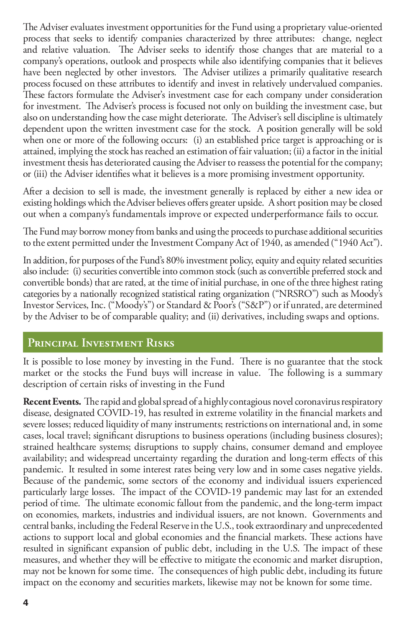The Adviser evaluates investment opportunities for the Fund using a proprietary value-oriented process that seeks to identify companies characterized by three attributes: change, neglect and relative valuation. The Adviser seeks to identify those changes that are material to a company's operations, outlook and prospects while also identifying companies that it believes have been neglected by other investors. The Adviser utilizes a primarily qualitative research process focused on these attributes to identify and invest in relatively undervalued companies. These factors formulate the Adviser's investment case for each company under consideration for investment. The Adviser's process is focused not only on building the investment case, but also on understanding how the case might deteriorate. The Adviser's sell discipline is ultimately dependent upon the written investment case for the stock. A position generally will be sold when one or more of the following occurs: (i) an established price target is approaching or is attained, implying the stock has reached an estimation of fair valuation; (ii) a factor in the initial investment thesis has deteriorated causing the Adviser to reassess the potential for the company; or (iii) the Adviser identifies what it believes is a more promising investment opportunity.

After a decision to sell is made, the investment generally is replaced by either a new idea or existing holdings which the Adviser believes offers greater upside. A short position may be closed out when a company's fundamentals improve or expected underperformance fails to occur.

The Fund may borrow money from banks and using the proceeds to purchase additional securities to the extent permitted under the Investment Company Act of 1940, as amended ("1940 Act").

In addition, for purposes of the Fund's 80% investment policy, equity and equity related securities also include: (i) securities convertible into common stock (such as convertible preferred stock and convertible bonds) that are rated, at the time of initial purchase, in one of the three highest rating categories by a nationally recognized statistical rating organization ("NRSRO") such as Moody's Investor Services, Inc. ("Moody's") or Standard & Poor's ("S&P") or if unrated, are determined by the Adviser to be of comparable quality; and (ii) derivatives, including swaps and options.

## **Principal Investment Risks**

It is possible to lose money by investing in the Fund. There is no guarantee that the stock market or the stocks the Fund buys will increase in value. The following is a summary description of certain risks of investing in the Fund

**Recent Events.** The rapid and global spread of a highly contagious novel coronavirus respiratory disease, designated COVID-19, has resulted in extreme volatility in the financial markets and severe losses; reduced liquidity of many instruments; restrictions on international and, in some cases, local travel; significant disruptions to business operations (including business closures); strained healthcare systems; disruptions to supply chains, consumer demand and employee availability; and widespread uncertainty regarding the duration and long-term effects of this pandemic. It resulted in some interest rates being very low and in some cases negative yields. Because of the pandemic, some sectors of the economy and individual issuers experienced particularly large losses. The impact of the COVID-19 pandemic may last for an extended period of time. The ultimate economic fallout from the pandemic, and the long-term impact on economies, markets, industries and individual issuers, are not known. Governments and central banks, including the Federal Reserve in the U.S., took extraordinary and unprecedented actions to support local and global economies and the financial markets. These actions have resulted in significant expansion of public debt, including in the U.S. The impact of these measures, and whether they will be effective to mitigate the economic and market disruption, may not be known for some time. The consequences of high public debt, including its future impact on the economy and securities markets, likewise may not be known for some time.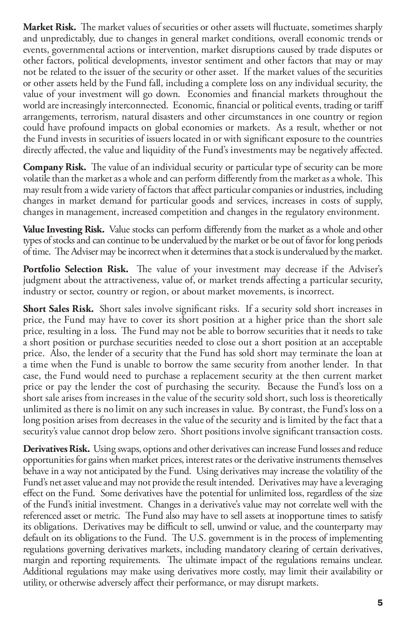Market Risk. The market values of securities or other assets will fluctuate, sometimes sharply and unpredictably, due to changes in general market conditions, overall economic trends or events, governmental actions or intervention, market disruptions caused by trade disputes or other factors, political developments, investor sentiment and other factors that may or may not be related to the issuer of the security or other asset. If the market values of the securities or other assets held by the Fund fall, including a complete loss on any individual security, the value of your investment will go down. Economies and financial markets throughout the world are increasingly interconnected. Economic, financial or political events, trading or tariff arrangements, terrorism, natural disasters and other circumstances in one country or region could have profound impacts on global economies or markets. As a result, whether or not the Fund invests in securities of issuers located in or with significant exposure to the countries directly affected, the value and liquidity of the Fund's investments may be negatively affected.

**Company Risk.** The value of an individual security or particular type of security can be more volatile than the market as a whole and can perform differently from the market as a whole. This may result from a wide variety of factors that affect particular companies or industries, including changes in market demand for particular goods and services, increases in costs of supply, changes in management, increased competition and changes in the regulatory environment.

**Value Investing Risk.** Value stocks can perform differently from the market as a whole and other types of stocks and can continue to be undervalued by the market or be out of favor for long periods of time. The Adviser may be incorrect when it determines that a stock is undervalued by the market.

Portfolio Selection Risk. The value of your investment may decrease if the Adviser's judgment about the attractiveness, value of, or market trends affecting a particular security, industry or sector, country or region, or about market movements, is incorrect.

**Short Sales Risk.** Short sales involve significant risks. If a security sold short increases in price, the Fund may have to cover its short position at a higher price than the short sale price, resulting in a loss. The Fund may not be able to borrow securities that it needs to take a short position or purchase securities needed to close out a short position at an acceptable price. Also, the lender of a security that the Fund has sold short may terminate the loan at a time when the Fund is unable to borrow the same security from another lender. In that case, the Fund would need to purchase a replacement security at the then current market price or pay the lender the cost of purchasing the security. Because the Fund's loss on a short sale arises from increases in the value of the security sold short, such loss is theoretically unlimited as there is no limit on any such increases in value. By contrast, the Fund's loss on a long position arises from decreases in the value of the security and is limited by the fact that a security's value cannot drop below zero. Short positions involve significant transaction costs.

**Derivatives Risk.** Using swaps, options and other derivatives can increase Fund losses and reduce opportunities for gains when market prices, interest rates or the derivative instruments themselves behave in a way not anticipated by the Fund. Using derivatives may increase the volatility of the Fund's net asset value and may not provide the result intended. Derivatives may have a leveraging effect on the Fund. Some derivatives have the potential for unlimited loss, regardless of the size of the Fund's initial investment. Changes in a derivative's value may not correlate well with the referenced asset or metric. The Fund also may have to sell assets at inopportune times to satisfy its obligations. Derivatives may be difficult to sell, unwind or value, and the counterparty may default on its obligations to the Fund. The U.S. government is in the process of implementing regulations governing derivatives markets, including mandatory clearing of certain derivatives, margin and reporting requirements. The ultimate impact of the regulations remains unclear. Additional regulations may make using derivatives more costly, may limit their availability or utility, or otherwise adversely affect their performance, or may disrupt markets.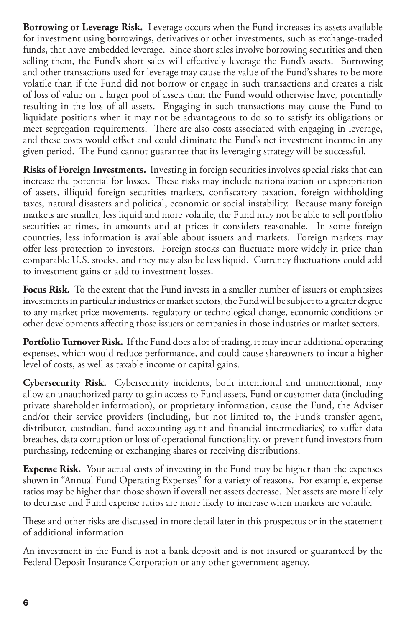**Borrowing or Leverage Risk.** Leverage occurs when the Fund increases its assets available for investment using borrowings, derivatives or other investments, such as exchange-traded funds, that have embedded leverage. Since short sales involve borrowing securities and then selling them, the Fund's short sales will effectively leverage the Fund's assets. Borrowing and other transactions used for leverage may cause the value of the Fund's shares to be more volatile than if the Fund did not borrow or engage in such transactions and creates a risk of loss of value on a larger pool of assets than the Fund would otherwise have, potentially resulting in the loss of all assets. Engaging in such transactions may cause the Fund to liquidate positions when it may not be advantageous to do so to satisfy its obligations or meet segregation requirements. There are also costs associated with engaging in leverage, and these costs would offset and could eliminate the Fund's net investment income in any given period. The Fund cannot guarantee that its leveraging strategy will be successful.

**Risks of Foreign Investments.** Investing in foreign securities involves special risks that can increase the potential for losses. These risks may include nationalization or expropriation of assets, illiquid foreign securities markets, confiscatory taxation, foreign withholding taxes, natural disasters and political, economic or social instability. Because many foreign markets are smaller, less liquid and more volatile, the Fund may not be able to sell portfolio securities at times, in amounts and at prices it considers reasonable. In some foreign countries, less information is available about issuers and markets. Foreign markets may offer less protection to investors. Foreign stocks can fluctuate more widely in price than comparable U.S. stocks, and they may also be less liquid. Currency fluctuations could add to investment gains or add to investment losses.

**Focus Risk.** To the extent that the Fund invests in a smaller number of issuers or emphasizes investments in particular industries or market sectors, the Fund will be subject to a greater degree to any market price movements, regulatory or technological change, economic conditions or other developments affecting those issuers or companies in those industries or market sectors.

**Portfolio Turnover Risk.** If the Fund does a lot of trading, it may incur additional operating expenses, which would reduce performance, and could cause shareowners to incur a higher level of costs, as well as taxable income or capital gains.

**Cybersecurity Risk.** Cybersecurity incidents, both intentional and unintentional, may allow an unauthorized party to gain access to Fund assets, Fund or customer data (including private shareholder information), or proprietary information, cause the Fund, the Adviser and/or their service providers (including, but not limited to, the Fund's transfer agent, distributor, custodian, fund accounting agent and financial intermediaries) to suffer data breaches, data corruption or loss of operational functionality, or prevent fund investors from purchasing, redeeming or exchanging shares or receiving distributions.

**Expense Risk.** Your actual costs of investing in the Fund may be higher than the expenses shown in "Annual Fund Operating Expenses" for a variety of reasons. For example, expense ratios may be higher than those shown if overall net assets decrease. Net assets are more likely to decrease and Fund expense ratios are more likely to increase when markets are volatile.

These and other risks are discussed in more detail later in this prospectus or in the statement of additional information.

An investment in the Fund is not a bank deposit and is not insured or guaranteed by the Federal Deposit Insurance Corporation or any other government agency.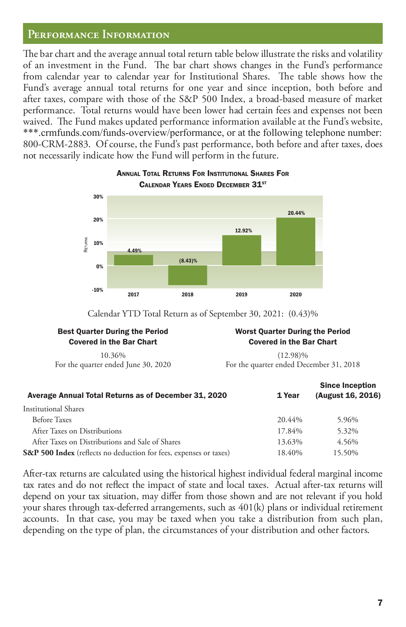#### **Performance Information**

The bar chart and the average annual total return table below illustrate the risks and volatility of an investment in the Fund. The bar chart shows changes in the Fund's performance from calendar year to calendar year for Institutional Shares. The table shows how the Fund's average annual total returns for one year and since inception, both before and after taxes, compare with those of the S&P 500 Index, a broad-based measure of market performance. Total returns would have been lower had certain fees and expenses not been waived. The Fund makes updated performance information available at the Fund's website, \*\*\*.crmfunds.com/funds-overview/performance, or at the following telephone number: 800-CRM-2883. Of course, the Fund's past performance, both before and after taxes, does not necessarily indicate how the Fund will perform in the future.



#### ANNUAL TOTAL RETURNS FOR INSTITUTIONAL SHARES FOR CALENDAR YEARS ENDED DECEMBER 31ST

Calendar YTD Total Return as of September 30, 2021: (0.43)%

### Best Quarter During the Period Covered in the Bar Chart

10.36% For the quarter ended June 30, 2020

#### Worst Quarter During the Period Covered in the Bar Chart

(12.98)% For the quarter ended December 31, 2018

| Average Annual Total Returns as of December 31, 2020              | 1 Year | <b>Since Inception</b><br>(August 16, 2016) |
|-------------------------------------------------------------------|--------|---------------------------------------------|
| <b>Institutional Shares</b>                                       |        |                                             |
| <b>Before Taxes</b>                                               | 20.44% | 5.96%                                       |
| After Taxes on Distributions                                      | 17.84% | 5.32%                                       |
| After Taxes on Distributions and Sale of Shares                   | 13.63% | 4.56%                                       |
| S&P 500 Index (reflects no deduction for fees, expenses or taxes) | 18.40% | 15.50%                                      |

After-tax returns are calculated using the historical highest individual federal marginal income tax rates and do not reflect the impact of state and local taxes. Actual after-tax returns will depend on your tax situation, may differ from those shown and are not relevant if you hold your shares through tax-deferred arrangements, such as 401(k) plans or individual retirement accounts. In that case, you may be taxed when you take a distribution from such plan, depending on the type of plan, the circumstances of your distribution and other factors.